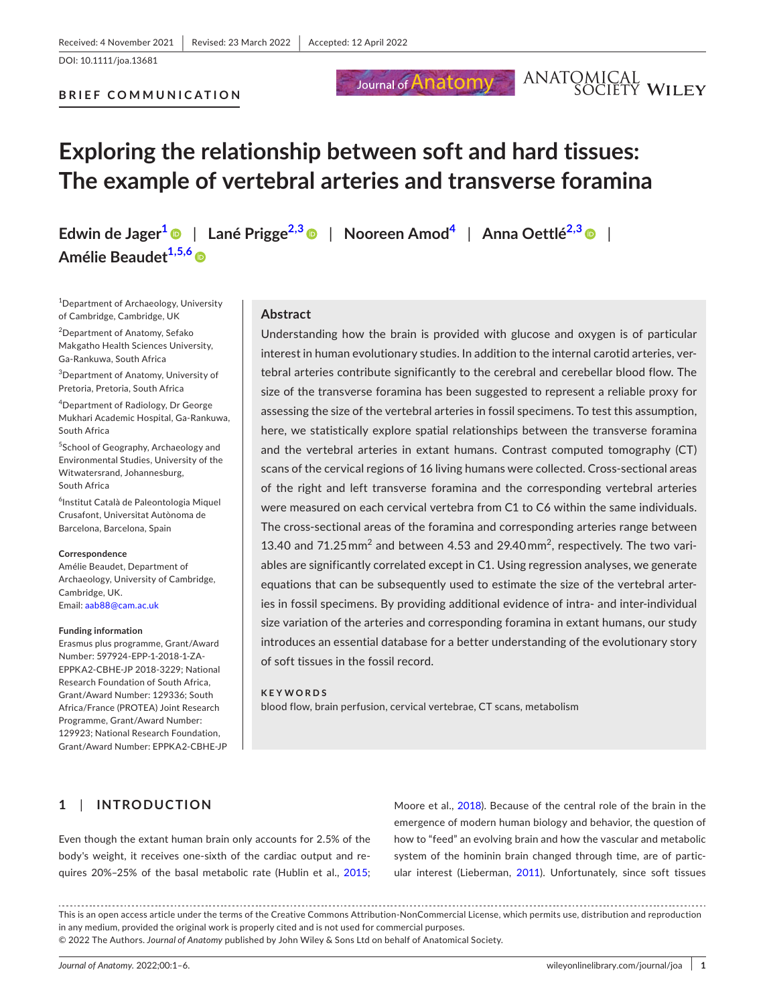DOI: 10.1111/joa.13681

#### **BRIEF COMMUNICATION**

# Journal of **Anatomy**

# ANATOMICAL<br>SOCIETY WILEY

# **Exploring the relationship between soft and hard tissues: The example of vertebral arteries and transverse foramina**

**Edwin de Jager[1](#page-0-0)** | **Lané Prigge[2,3](#page-0-1)** | **Nooreen Amod[4](#page-0-2)** | **Anna Oettlé[2,3](#page-0-1)** | **Amélie Beaudet[1,5,6](#page-0-0)**

<span id="page-0-0"></span>1 Department of Archaeology, University of Cambridge, Cambridge, UK

<span id="page-0-1"></span>2 Department of Anatomy, Sefako Makgatho Health Sciences University, Ga-Rankuwa, South Africa

3 Department of Anatomy, University of Pretoria, Pretoria, South Africa

<span id="page-0-2"></span>4 Department of Radiology, Dr George Mukhari Academic Hospital, Ga-Rankuwa, South Africa

5 School of Geography, Archaeology and Environmental Studies, University of the Witwatersrand, Johannesburg, South Africa

6 Institut Català de Paleontologia Miquel Crusafont, Universitat Autònoma de Barcelona, Barcelona, Spain

#### **Correspondence**

Amélie Beaudet, Department of Archaeology, University of Cambridge, Cambridge, UK. Email: [aab88@cam.ac.uk](mailto:aab88@cam.ac.uk)

#### **Funding information**

Erasmus plus programme, Grant/Award Number: 597924-EPP-1-2018-1-ZA-EPPKA2-CBHE-JP 2018-3229; National Research Foundation of South Africa, Grant/Award Number: 129336; South Africa/France (PROTEA) Joint Research Programme, Grant/Award Number: 129923; National Research Foundation, Grant/Award Number: EPPKA2-CBHE-JP

#### **Abstract**

Understanding how the brain is provided with glucose and oxygen is of particular interest in human evolutionary studies. In addition to the internal carotid arteries, vertebral arteries contribute significantly to the cerebral and cerebellar blood flow. The size of the transverse foramina has been suggested to represent a reliable proxy for assessing the size of the vertebral arteries in fossil specimens. To test this assumption, here, we statistically explore spatial relationships between the transverse foramina and the vertebral arteries in extant humans. Contrast computed tomography (CT) scans of the cervical regions of 16 living humans were collected. Cross-sectional areas of the right and left transverse foramina and the corresponding vertebral arteries were measured on each cervical vertebra from C1 to C6 within the same individuals. The cross-sectional areas of the foramina and corresponding arteries range between 13.40 and 71.25  $mm^2$  and between 4.53 and 29.40 $mm^2$ , respectively. The two variables are significantly correlated except in C1. Using regression analyses, we generate equations that can be subsequently used to estimate the size of the vertebral arteries in fossil specimens. By providing additional evidence of intra- and inter-individual size variation of the arteries and corresponding foramina in extant humans, our study introduces an essential database for a better understanding of the evolutionary story of soft tissues in the fossil record.

#### **KEYWORDS**

blood flow, brain perfusion, cervical vertebrae, CT scans, metabolism

# **1**  | **INTRODUCTION**

Even though the extant human brain only accounts for 2.5% of the body's weight, it receives one-sixth of the cardiac output and requires 20%–25% of the basal metabolic rate (Hublin et al., [2015](#page-5-0);

Moore et al., [2018\)](#page-5-1). Because of the central role of the brain in the emergence of modern human biology and behavior, the question of how to "feed" an evolving brain and how the vascular and metabolic system of the hominin brain changed through time, are of particular interest (Lieberman, [2011](#page-5-2)). Unfortunately, since soft tissues

This is an open access article under the terms of the Creative Commons Attribution-NonCommercial License, which permits use, distribution and reproduction in any medium, provided the original work is properly cited and is not used for commercial purposes.

© 2022 The Authors. *Journal of Anatomy* published by John Wiley & Sons Ltd on behalf of Anatomical Society.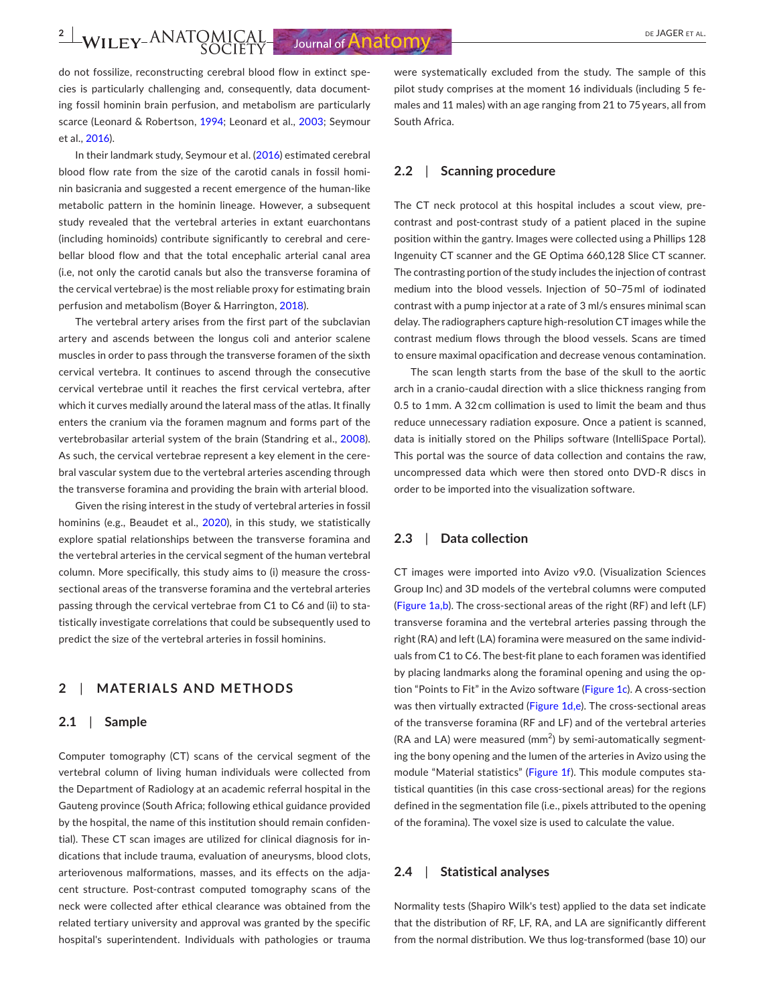**2**  $\frac{2}{\sqrt{1}}$  **WILEY-ANATOMICAL** Journal of **Anatomy** 

do not fossilize, reconstructing cerebral blood flow in extinct species is particularly challenging and, consequently, data documenting fossil hominin brain perfusion, and metabolism are particularly scarce (Leonard & Robertson, [1994;](#page-5-3) Leonard et al., [2003](#page-5-4); Seymour et al., [2016](#page-5-5)).

In their landmark study, Seymour et al. [\(2016\)](#page-5-5) estimated cerebral blood flow rate from the size of the carotid canals in fossil hominin basicrania and suggested a recent emergence of the human-like metabolic pattern in the hominin lineage. However, a subsequent study revealed that the vertebral arteries in extant euarchontans (including hominoids) contribute significantly to cerebral and cerebellar blood flow and that the total encephalic arterial canal area (i.e, not only the carotid canals but also the transverse foramina of the cervical vertebrae) is the most reliable proxy for estimating brain perfusion and metabolism (Boyer & Harrington, [2018](#page-5-6)).

The vertebral artery arises from the first part of the subclavian artery and ascends between the longus coli and anterior scalene muscles in order to pass through the transverse foramen of the sixth cervical vertebra. It continues to ascend through the consecutive cervical vertebrae until it reaches the first cervical vertebra, after which it curves medially around the lateral mass of the atlas. It finally enters the cranium via the foramen magnum and forms part of the vertebrobasilar arterial system of the brain (Standring et al., [2008](#page-5-7)). As such, the cervical vertebrae represent a key element in the cerebral vascular system due to the vertebral arteries ascending through the transverse foramina and providing the brain with arterial blood.

Given the rising interest in the study of vertebral arteries in fossil hominins (e.g., Beaudet et al., [2020\)](#page-5-8), in this study, we statistically explore spatial relationships between the transverse foramina and the vertebral arteries in the cervical segment of the human vertebral column. More specifically, this study aims to (i) measure the crosssectional areas of the transverse foramina and the vertebral arteries passing through the cervical vertebrae from C1 to C6 and (ii) to statistically investigate correlations that could be subsequently used to predict the size of the vertebral arteries in fossil hominins.

#### **2**  | **MATERIALS AND METHODS**

#### **2.1**  | **Sample**

Computer tomography (CT) scans of the cervical segment of the vertebral column of living human individuals were collected from the Department of Radiology at an academic referral hospital in the Gauteng province (South Africa; following ethical guidance provided by the hospital, the name of this institution should remain confidential). These CT scan images are utilized for clinical diagnosis for indications that include trauma, evaluation of aneurysms, blood clots, arteriovenous malformations, masses, and its effects on the adjacent structure. Post-contrast computed tomography scans of the neck were collected after ethical clearance was obtained from the related tertiary university and approval was granted by the specific hospital's superintendent. Individuals with pathologies or trauma

were systematically excluded from the study. The sample of this pilot study comprises at the moment 16 individuals (including 5 females and 11 males) with an age ranging from 21 to 75 years, all from South Africa.

### **2.2**  | **Scanning procedure**

The CT neck protocol at this hospital includes a scout view, precontrast and post-contrast study of a patient placed in the supine position within the gantry. Images were collected using a Phillips 128 Ingenuity CT scanner and the GE Optima 660,128 Slice CT scanner. The contrasting portion of the study includes the injection of contrast medium into the blood vessels. Injection of 50–75 ml of iodinated contrast with a pump injector at a rate of 3 ml/s ensures minimal scan delay. The radiographers capture high-resolution CT images while the contrast medium flows through the blood vessels. Scans are timed to ensure maximal opacification and decrease venous contamination.

The scan length starts from the base of the skull to the aortic arch in a cranio-caudal direction with a slice thickness ranging from 0.5 to 1 mm. A 32 cm collimation is used to limit the beam and thus reduce unnecessary radiation exposure. Once a patient is scanned, data is initially stored on the Philips software (IntelliSpace Portal). This portal was the source of data collection and contains the raw, uncompressed data which were then stored onto DVD-R discs in order to be imported into the visualization software.

#### **2.3**  | **Data collection**

CT images were imported into Avizo v9.0. (Visualization Sciences Group Inc) and 3D models of the vertebral columns were computed (Figure [1a,b](#page-2-0)). The cross-sectional areas of the right (RF) and left (LF) transverse foramina and the vertebral arteries passing through the right (RA) and left (LA) foramina were measured on the same individuals from C1 to C6. The best-fit plane to each foramen was identified by placing landmarks along the foraminal opening and using the option "Points to Fit" in the Avizo software (Figure [1c](#page-2-0)). A cross-section was then virtually extracted (Figure [1d,e](#page-2-0)). The cross-sectional areas of the transverse foramina (RF and LF) and of the vertebral arteries  $(RA$  and LA) were measured  $(mm^2)$  by semi-automatically segmenting the bony opening and the lumen of the arteries in Avizo using the module "Material statistics" (Figure [1f](#page-2-0)). This module computes statistical quantities (in this case cross-sectional areas) for the regions defined in the segmentation file (i.e., pixels attributed to the opening of the foramina). The voxel size is used to calculate the value.

#### **2.4**  | **Statistical analyses**

Normality tests (Shapiro Wilk's test) applied to the data set indicate that the distribution of RF, LF, RA, and LA are significantly different from the normal distribution. We thus log-transformed (base 10) our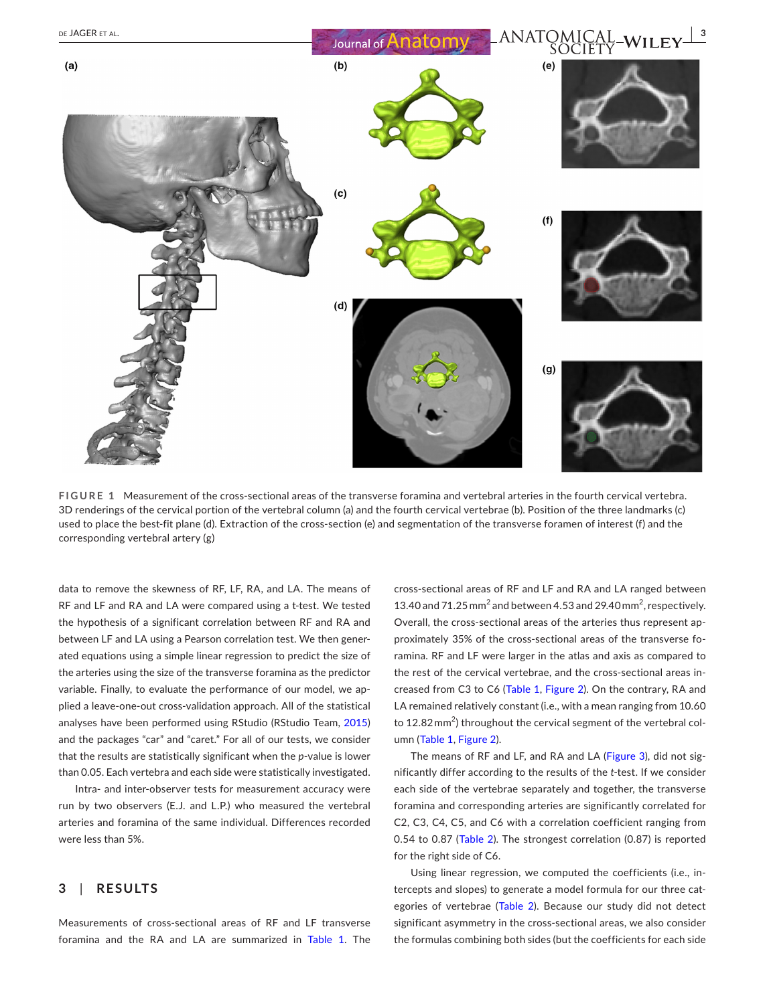

<span id="page-2-0"></span>**FIGURE 1** Measurement of the cross-sectional areas of the transverse foramina and vertebral arteries in the fourth cervical vertebra. 3D renderings of the cervical portion of the vertebral column (a) and the fourth cervical vertebrae (b). Position of the three landmarks (c) used to place the best-fit plane (d). Extraction of the cross-section (e) and segmentation of the transverse foramen of interest (f) and the corresponding vertebral artery (g)

data to remove the skewness of RF, LF, RA, and LA. The means of RF and LF and RA and LA were compared using a t-test. We tested the hypothesis of a significant correlation between RF and RA and between LF and LA using a Pearson correlation test. We then generated equations using a simple linear regression to predict the size of the arteries using the size of the transverse foramina as the predictor variable. Finally, to evaluate the performance of our model, we applied a leave-one-out cross-validation approach. All of the statistical analyses have been performed using RStudio (RStudio Team, [2015](#page-5-9)) and the packages "car" and "caret." For all of our tests, we consider that the results are statistically significant when the *p*-value is lower than 0.05. Each vertebra and each side were statistically investigated.

Intra- and inter-observer tests for measurement accuracy were run by two observers (E.J. and L.P.) who measured the vertebral arteries and foramina of the same individual. Differences recorded were less than 5%.

# **3**  | **RESULTS**

Measurements of cross-sectional areas of RF and LF transverse foramina and the RA and LA are summarized in Table [1](#page-3-0). The cross-sectional areas of RF and LF and RA and LA ranged between 13.40 and 71.25 mm<sup>2</sup> and between 4.53 and 29.40 mm<sup>2</sup>, respectively. Overall, the cross-sectional areas of the arteries thus represent approximately 35% of the cross-sectional areas of the transverse foramina. RF and LF were larger in the atlas and axis as compared to the rest of the cervical vertebrae, and the cross-sectional areas increased from C3 to C6 (Table [1](#page-3-0), Figure [2](#page-3-1)). On the contrary, RA and LA remained relatively constant (i.e., with a mean ranging from 10.60 to 12.82 mm<sup>2</sup>) throughout the cervical segment of the vertebral column (Table [1,](#page-3-0) Figure [2](#page-3-1)).

The means of RF and LF, and RA and LA (Figure [3](#page-3-2)), did not significantly differ according to the results of the *t*-test. If we consider each side of the vertebrae separately and together, the transverse foramina and corresponding arteries are significantly correlated for C2, C3, C4, C5, and C6 with a correlation coefficient ranging from 0.54 to 0.87 (Table [2](#page-4-0)). The strongest correlation (0.87) is reported for the right side of C6.

Using linear regression, we computed the coefficients (i.e., intercepts and slopes) to generate a model formula for our three categories of vertebrae (Table [2\)](#page-4-0). Because our study did not detect significant asymmetry in the cross-sectional areas, we also consider the formulas combining both sides (but the coefficients for each side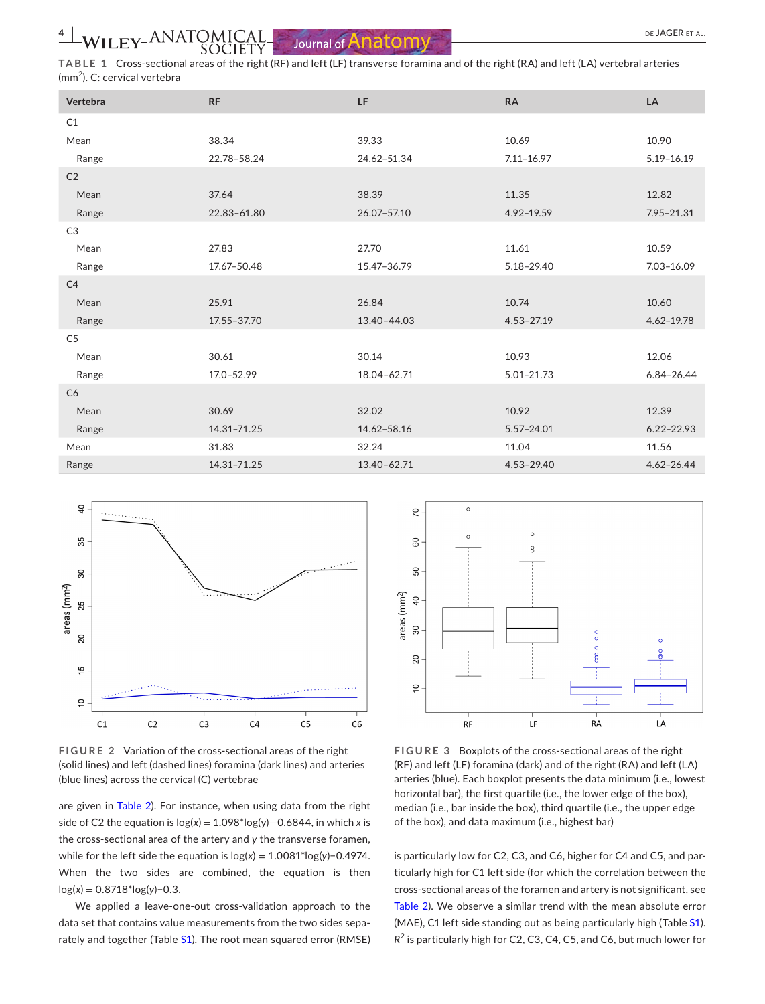<span id="page-3-0"></span>**TABLE 1** Cross-sectional areas of the right (RF) and left (LF) transverse foramina and of the right (RA) and left (LA) vertebral arteries (mm<sup>2</sup> ). C: cervical vertebra

| Vertebra       | <b>RF</b>   | LF          | <b>RA</b>      | LA             |
|----------------|-------------|-------------|----------------|----------------|
| C1             |             |             |                |                |
| Mean           | 38.34       | 39.33       | 10.69          | 10.90          |
| Range          | 22.78-58.24 | 24.62-51.34 | $7.11 - 16.97$ | $5.19 - 16.19$ |
| C <sub>2</sub> |             |             |                |                |
| Mean           | 37.64       | 38.39       | 11.35          | 12.82          |
| Range          | 22.83-61.80 | 26.07-57.10 | 4.92-19.59     | 7.95-21.31     |
| C <sub>3</sub> |             |             |                |                |
| Mean           | 27.83       | 27.70       | 11.61          | 10.59          |
| Range          | 17.67-50.48 | 15.47-36.79 | 5.18-29.40     | 7.03-16.09     |
| C4             |             |             |                |                |
| Mean           | 25.91       | 26.84       | 10.74          | 10.60          |
| Range          | 17.55-37.70 | 13.40-44.03 | $4.53 - 27.19$ | $4.62 - 19.78$ |
| C <sub>5</sub> |             |             |                |                |
| Mean           | 30.61       | 30.14       | 10.93          | 12.06          |
| Range          | 17.0-52.99  | 18.04-62.71 | 5.01-21.73     | $6.84 - 26.44$ |
| C6             |             |             |                |                |
| Mean           | 30.69       | 32.02       | 10.92          | 12.39          |
| Range          | 14.31-71.25 | 14.62-58.16 | 5.57-24.01     | $6.22 - 22.93$ |
| Mean           | 31.83       | 32.24       | 11.04          | 11.56          |
| Range          | 14.31-71.25 | 13.40-62.71 | 4.53-29.40     | $4.62 - 26.44$ |



<span id="page-3-1"></span>**FIGURE 2** Variation of the cross-sectional areas of the right (solid lines) and left (dashed lines) foramina (dark lines) and arteries (blue lines) across the cervical (C) vertebrae

are given in Table [2\)](#page-4-0). For instance, when using data from the right side of C2 the equation is  $log(x) = 1.098*log(y) - 0.6844$ , in which *x* is the cross-sectional area of the artery and *y* the transverse foramen, while for the left side the equation is log(*x*) = 1.0081\*log(*y*)−0.4974. When the two sides are combined, the equation is then log(*x*) = 0.8718\*log(*y*)−0.3.

We applied a leave-one-out cross-validation approach to the data set that contains value measurements from the two sides sepa-rately and together (Table [S1](#page-5-10)). The root mean squared error (RMSE)



<span id="page-3-2"></span>**FIGURE 3** Boxplots of the cross-sectional areas of the right (RF) and left (LF) foramina (dark) and of the right (RA) and left (LA) arteries (blue). Each boxplot presents the data minimum (i.e., lowest horizontal bar), the first quartile (i.e., the lower edge of the box), median (i.e., bar inside the box), third quartile (i.e., the upper edge of the box), and data maximum (i.e., highest bar)

is particularly low for C2, C3, and C6, higher for C4 and C5, and particularly high for C1 left side (for which the correlation between the cross-sectional areas of the foramen and artery is not significant, see Table [2](#page-4-0)). We observe a similar trend with the mean absolute error (MAE), C1 left side standing out as being particularly high (Table [S1\)](#page-5-10).  $R^2$  is particularly high for C2, C3, C4, C5, and C6, but much lower for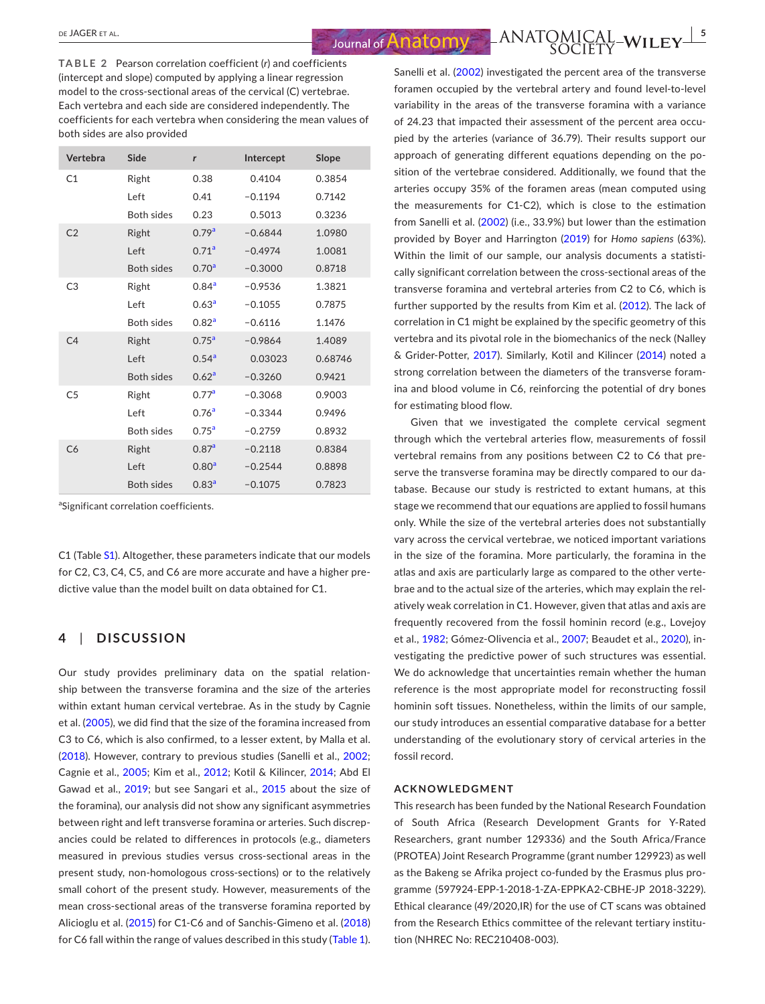$\frac{1}{2}$   $\frac{1}{2}$   $\frac{1}{2}$   $\frac{1}{2}$   $\frac{1}{2}$   $\frac{1}{2}$   $\frac{1}{2}$   $\frac{1}{2}$   $\frac{1}{2}$   $\frac{1}{2}$   $\frac{1}{2}$   $\frac{1}{2}$   $\frac{1}{2}$   $\frac{1}{2}$   $\frac{1}{2}$   $\frac{1}{2}$   $\frac{1}{2}$   $\frac{1}{2}$   $\frac{1}{2}$   $\frac{1}{2}$   $\frac{1}{2}$   $\frac{1}{2}$ 

<span id="page-4-0"></span>**TABLE 2** Pearson correlation coefficient (*r*) and coefficients (intercept and slope) computed by applying a linear regression model to the cross-sectional areas of the cervical (C) vertebrae. Each vertebra and each side are considered independently. The coefficients for each vertebra when considering the mean values of both sides are also provided

| Vertebra       | Side              | r                 | Intercept | Slope   |
|----------------|-------------------|-------------------|-----------|---------|
| C1             | Right             | 0.38              | 0.4104    | 0.3854  |
|                | Left              | 0.41              | $-0.1194$ | 0.7142  |
|                | <b>Both sides</b> | 0.23              | 0.5013    | 0.3236  |
| C <sub>2</sub> | Right             | 0.79 <sup>a</sup> | $-0.6844$ | 1.0980  |
|                | Left              | 0.71 <sup>a</sup> | $-0.4974$ | 1.0081  |
|                | <b>Both sides</b> | 0.70 <sup>a</sup> | $-0.3000$ | 0.8718  |
| C <sub>3</sub> | Right             | 0.84 <sup>a</sup> | $-0.9536$ | 1.3821  |
|                | Left              | 0.63 <sup>a</sup> | $-0.1055$ | 0.7875  |
|                | <b>Both sides</b> | 0.82 <sup>a</sup> | $-0.6116$ | 1.1476  |
| C <sub>4</sub> | Right             | 0.75 <sup>a</sup> | $-0.9864$ | 1.4089  |
|                | Left              | 0.54 <sup>a</sup> | 0.03023   | 0.68746 |
|                | <b>Both sides</b> | 0.62 <sup>a</sup> | $-0.3260$ | 0.9421  |
| C <sub>5</sub> | Right             | 0.77 <sup>a</sup> | $-0.3068$ | 0.9003  |
|                | Left              | 0.76 <sup>a</sup> | $-0.3344$ | 0.9496  |
|                | <b>Both sides</b> | 0.75 <sup>a</sup> | $-0.2759$ | 0.8932  |
| C6             | Right             | 0.87 <sup>a</sup> | $-0.2118$ | 0.8384  |
|                | Left              | 0.80 <sup>a</sup> | $-0.2544$ | 0.8898  |
|                | <b>Both sides</b> | 0.83 <sup>a</sup> | $-0.1075$ | 0.7823  |

<span id="page-4-1"></span><sup>a</sup>Significant correlation coefficients.

C1 (Table [S1](#page-5-10)). Altogether, these parameters indicate that our models for C2, C3, C4, C5, and C6 are more accurate and have a higher predictive value than the model built on data obtained for C1.

#### **4**  | **DISCUSSION**

Our study provides preliminary data on the spatial relationship between the transverse foramina and the size of the arteries within extant human cervical vertebrae. As in the study by Cagnie et al. ([2005\)](#page-5-11), we did find that the size of the foramina increased from C3 to C6, which is also confirmed, to a lesser extent, by Malla et al. ([2018](#page-5-12)). However, contrary to previous studies (Sanelli et al., [2002](#page-5-13); Cagnie et al., [2005;](#page-5-11) Kim et al., [2012](#page-5-14); Kotil & Kilincer, [2014](#page-5-15); Abd El Gawad et al., [2019](#page-5-16); but see Sangari et al., [2015](#page-5-17) about the size of the foramina), our analysis did not show any significant asymmetries between right and left transverse foramina or arteries. Such discrepancies could be related to differences in protocols (e.g., diameters measured in previous studies versus cross-sectional areas in the present study, non-homologous cross-sections) or to the relatively small cohort of the present study. However, measurements of the mean cross-sectional areas of the transverse foramina reported by Alicioglu et al. ([2015\)](#page-5-18) for C1-C6 and of Sanchis-Gimeno et al. ([2018](#page-5-19)) for C6 fall within the range of values described in this study (Table [1](#page-3-0)).

Sanelli et al. [\(2002](#page-5-13)) investigated the percent area of the transverse foramen occupied by the vertebral artery and found level-to-level variability in the areas of the transverse foramina with a variance of 24.23 that impacted their assessment of the percent area occupied by the arteries (variance of 36.79). Their results support our approach of generating different equations depending on the position of the vertebrae considered. Additionally, we found that the arteries occupy 35% of the foramen areas (mean computed using the measurements for C1-C2), which is close to the estimation from Sanelli et al. [\(2002](#page-5-13)) (i.e., 33.9%) but lower than the estimation provided by Boyer and Harrington ([2019](#page-5-20)) for *Homo sapiens* (63%). Within the limit of our sample, our analysis documents a statistically significant correlation between the cross-sectional areas of the transverse foramina and vertebral arteries from C2 to C6, which is further supported by the results from Kim et al. [\(2012](#page-5-14)). The lack of correlation in C1 might be explained by the specific geometry of this vertebra and its pivotal role in the biomechanics of the neck (Nalley & Grider-Potter, [2017](#page-5-21)). Similarly, Kotil and Kilincer ([2014](#page-5-15)) noted a strong correlation between the diameters of the transverse foramina and blood volume in C6, reinforcing the potential of dry bones for estimating blood flow.

Given that we investigated the complete cervical segment through which the vertebral arteries flow, measurements of fossil vertebral remains from any positions between C2 to C6 that preserve the transverse foramina may be directly compared to our database. Because our study is restricted to extant humans, at this stage we recommend that our equations are applied to fossil humans only. While the size of the vertebral arteries does not substantially vary across the cervical vertebrae, we noticed important variations in the size of the foramina. More particularly, the foramina in the atlas and axis are particularly large as compared to the other vertebrae and to the actual size of the arteries, which may explain the relatively weak correlation in C1. However, given that atlas and axis are frequently recovered from the fossil hominin record (e.g., Lovejoy et al., [1982;](#page-5-22) Gómez-Olivencia et al., [2007](#page-5-23); Beaudet et al., [2020\)](#page-5-8), investigating the predictive power of such structures was essential. We do acknowledge that uncertainties remain whether the human reference is the most appropriate model for reconstructing fossil hominin soft tissues. Nonetheless, within the limits of our sample, our study introduces an essential comparative database for a better understanding of the evolutionary story of cervical arteries in the fossil record.

#### **ACKNOWLEDGMENT**

This research has been funded by the National Research Foundation of South Africa (Research Development Grants for Y-Rated Researchers, grant number 129336) and the South Africa/France (PROTEA) Joint Research Programme (grant number 129923) as well as the Bakeng se Afrika project co-funded by the Erasmus plus programme (597924-EPP-1-2018-1-ZA-EPPKA2-CBHE-JP 2018-3229). Ethical clearance (49/2020,IR) for the use of CT scans was obtained from the Research Ethics committee of the relevant tertiary institution (NHREC No: REC210408-003).